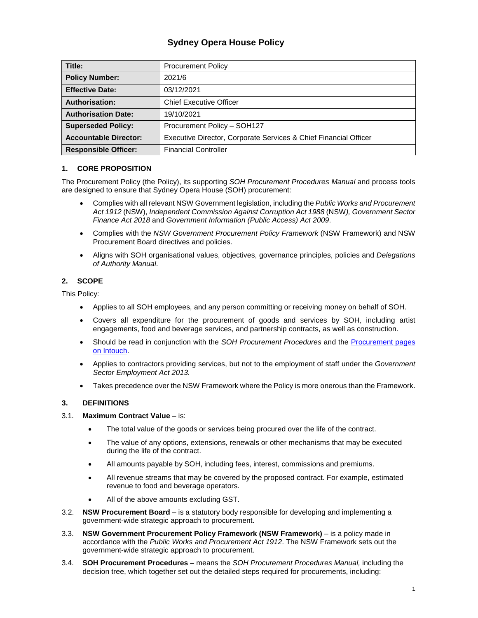# **Sydney Opera House Policy**

| Title:                       | <b>Procurement Policy</b>                                        |  |  |
|------------------------------|------------------------------------------------------------------|--|--|
| <b>Policy Number:</b>        | 2021/6                                                           |  |  |
| <b>Effective Date:</b>       | 03/12/2021                                                       |  |  |
| <b>Authorisation:</b>        | <b>Chief Executive Officer</b>                                   |  |  |
| <b>Authorisation Date:</b>   | 19/10/2021                                                       |  |  |
| <b>Superseded Policy:</b>    | Procurement Policy - SOH127                                      |  |  |
| <b>Accountable Director:</b> | Executive Director, Corporate Services & Chief Financial Officer |  |  |
| <b>Responsible Officer:</b>  | <b>Financial Controller</b>                                      |  |  |

## **1. CORE PROPOSITION**

The Procurement Policy (the Policy), its supporting *SOH Procurement Procedures Manual* and process tools are designed to ensure that Sydney Opera House (SOH) procurement:

- Complies with all relevant NSW Government legislation, including the *Public Works and Procurement Act 1912* (NSW), *Independent Commission Against Corruption Act 1988* (NSW*), Government Sector Finance Act 2018* and *Government Information (Public Access) Act 2009*.
- Complies with the *NSW Government Procurement Policy Framework* (NSW Framework) and NSW Procurement Board directives and policies.
- Aligns with SOH organisational values, objectives, governance principles, policies and *Delegations of Authority Manual*.

## **2. SCOPE**

This Policy:

- Applies to all SOH employees, and any person committing or receiving money on behalf of SOH.
- Covers all expenditure for the procurement of goods and services by SOH, including artist engagements, food and beverage services, and partnership contracts, as well as construction.
- Should be read in conjunction with the *SOH Procurement Procedures* and the Procurement pages on Intouch.
- Applies to contractors providing services, but not to the employment of staff under the *Government Sector Employment Act 2013.*
- Takes precedence over the NSW Framework where the Policy is more onerous than the Framework.

## **3. DEFINITIONS**

## 3.1. **Maximum Contract Value** – is:

- The total value of the goods or services being procured over the life of the contract.
- The value of any options, extensions, renewals or other mechanisms that may be executed during the life of the contract.
- All amounts payable by SOH, including fees, interest, commissions and premiums.
- All revenue streams that may be covered by the proposed contract. For example, estimated revenue to food and beverage operators.
- All of the above amounts excluding GST.
- 3.2. **NSW Procurement Board**  is a statutory body responsible for developing and implementing a government-wide strategic approach to procurement.
- 3.3. **NSW Government Procurement Policy Framework (NSW Framework)**  is a policy made in accordance with the *Public Works and Procurement Act 1912*. The NSW Framework sets out the government-wide strategic approach to procurement.
- 3.4. **SOH Procurement Procedures**  means the *SOH Procurement Procedures Manual,* including the decision tree, which together set out the detailed steps required for procurements, including: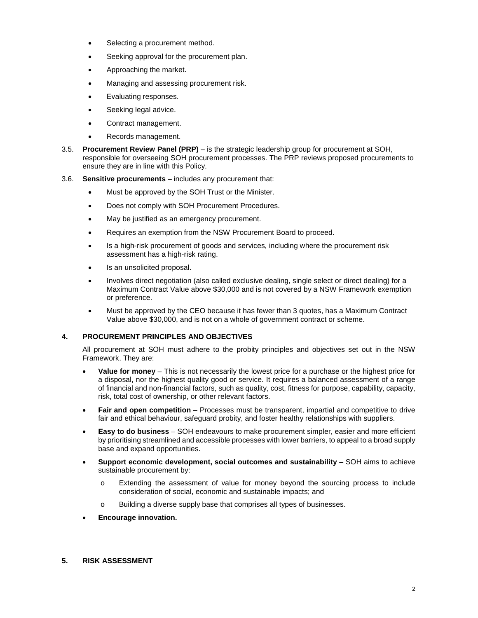- Selecting a procurement method.
- Seeking approval for the procurement plan.
- Approaching the market.
- Managing and assessing procurement risk.
- Evaluating responses.
- Seeking legal advice.
- Contract management.
- Records management.
- 3.5. **Procurement Review Panel (PRP)**  is the strategic leadership group for procurement at SOH, responsible for overseeing SOH procurement processes. The PRP reviews proposed procurements to ensure they are in line with this Policy.
- 3.6. **Sensitive procurements**  includes any procurement that:
	- Must be approved by the SOH Trust or the Minister.
	- Does not comply with SOH Procurement Procedures.
	- May be justified as an emergency procurement.
	- Requires an exemption from the NSW Procurement Board to proceed.
	- Is a high-risk procurement of goods and services, including where the procurement risk assessment has a high-risk rating.
	- Is an unsolicited proposal.
	- Involves direct negotiation (also called exclusive dealing, single select or direct dealing) for a Maximum Contract Value above \$30,000 and is not covered by a NSW Framework exemption or preference.
	- Must be approved by the CEO because it has fewer than 3 quotes, has a Maximum Contract Value above \$30,000, and is not on a whole of government contract or scheme.

## **4. PROCUREMENT PRINCIPLES AND OBJECTIVES**

All procurement at SOH must adhere to the probity principles and objectives set out in the NSW Framework. They are:

- **Value for money** This is not necessarily the lowest price for a purchase or the highest price for a disposal, nor the highest quality good or service. It requires a balanced assessment of a range of financial and non-financial factors, such as quality, cost, fitness for purpose, capability, capacity, risk, total cost of ownership, or other relevant factors.
- **Fair and open competition** Processes must be transparent, impartial and competitive to drive fair and ethical behaviour, safeguard probity, and foster healthy relationships with suppliers.
- **Easy to do business**  SOH endeavours to make procurement simpler, easier and more efficient by prioritising streamlined and accessible processes with lower barriers, to appeal to a broad supply base and expand opportunities.
- **Support economic development, social outcomes and sustainability SOH aims to achieve** sustainable procurement by:
	- o Extending the assessment of value for money beyond the sourcing process to include consideration of social, economic and sustainable impacts; and
	- o Building a diverse supply base that comprises all types of businesses.
- **Encourage innovation.**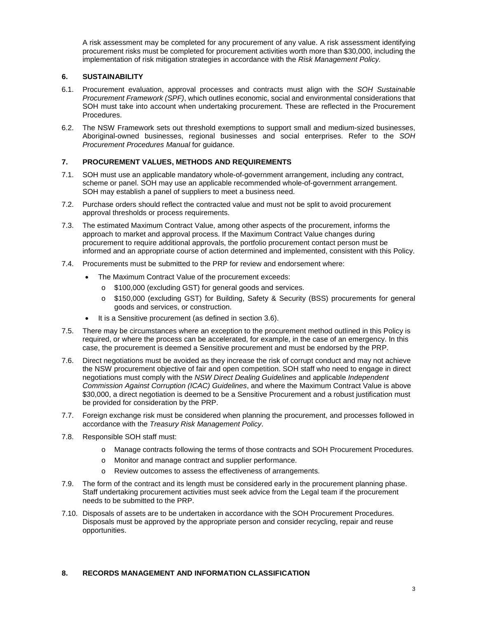A risk assessment may be completed for any procurement of any value. A risk assessment identifying procurement risks must be completed for procurement activities worth more than \$30,000, including the implementation of risk mitigation strategies in accordance with the *Risk Management Policy.*

## **6. SUSTAINABILITY**

- 6.1. Procurement evaluation, approval processes and contracts must align with the *SOH Sustainable Procurement Framework (SPF)*, which outlines economic, social and environmental considerations that SOH must take into account when undertaking procurement. These are reflected in the Procurement Procedures.
- 6.2. The NSW Framework sets out threshold exemptions to support small and medium-sized businesses, Aboriginal-owned businesses, regional businesses and social enterprises. Refer to the *SOH Procurement Procedures Manual* for guidance.

## **7. PROCUREMENT VALUES, METHODS AND REQUIREMENTS**

- 7.1. SOH must use an applicable mandatory whole-of-government arrangement, including any contract, scheme or panel. SOH may use an applicable recommended whole-of-government arrangement. SOH may establish a panel of suppliers to meet a business need.
- 7.2. Purchase orders should reflect the contracted value and must not be split to avoid procurement approval thresholds or process requirements.
- 7.3. The estimated Maximum Contract Value, among other aspects of the procurement, informs the approach to market and approval process. If the Maximum Contract Value changes during procurement to require additional approvals, the portfolio procurement contact person must be informed and an appropriate course of action determined and implemented, consistent with this Policy.
- 7.4. Procurements must be submitted to the PRP for review and endorsement where:
	- The Maximum Contract Value of the procurement exceeds:
		- o \$100,000 (excluding GST) for general goods and services.
		- o \$150,000 (excluding GST) for Building, Safety & Security (BSS) procurements for general goods and services, or construction.
	- It is a Sensitive procurement (as defined in section 3.6).
- 7.5. There may be circumstances where an exception to the procurement method outlined in this Policy is required, or where the process can be accelerated, for example, in the case of an emergency. In this case, the procurement is deemed a Sensitive procurement and must be endorsed by the PRP.
- 7.6. Direct negotiations must be avoided as they increase the risk of corrupt conduct and may not achieve the NSW procurement objective of fair and open competition. SOH staff who need to engage in direct negotiations must comply with the *NSW Direct Dealing Guidelines* and applicable *Independent Commission Against Corruption (ICAC) Guidelines*, and where the Maximum Contract Value is above \$30,000, a direct negotiation is deemed to be a Sensitive Procurement and a robust justification must be provided for consideration by the PRP.
- 7.7. Foreign exchange risk must be considered when planning the procurement, and processes followed in accordance with the *Treasury Risk Management Policy*.
- 7.8. Responsible SOH staff must:
	- o Manage contracts following the terms of those contracts and SOH Procurement Procedures.
	- o Monitor and manage contract and supplier performance.
	- o Review outcomes to assess the effectiveness of arrangements.
- 7.9. The form of the contract and its length must be considered early in the procurement planning phase. Staff undertaking procurement activities must seek advice from the Legal team if the procurement needs to be submitted to the PRP.
- 7.10. Disposals of assets are to be undertaken in accordance with the SOH Procurement Procedures. Disposals must be approved by the appropriate person and consider recycling, repair and reuse opportunities.

## **8. RECORDS MANAGEMENT AND INFORMATION CLASSIFICATION**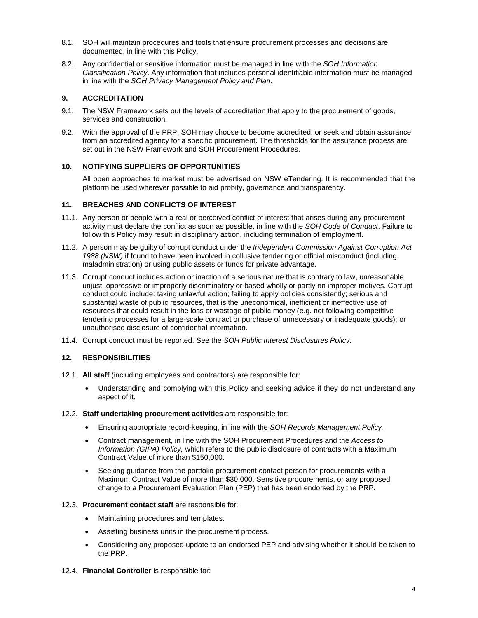- 8.1. SOH will maintain procedures and tools that ensure procurement processes and decisions are documented, in line with this Policy.
- 8.2. Any confidential or sensitive information must be managed in line with the *SOH Information Classification Policy*. Any information that includes personal identifiable information must be managed in line with the *SOH Privacy Management Policy and Plan*.

### **9. ACCREDITATION**

- 9.1. The NSW Framework sets out the levels of accreditation that apply to the procurement of goods, services and construction.
- 9.2. With the approval of the PRP, SOH may choose to become accredited, or seek and obtain assurance from an accredited agency for a specific procurement. The thresholds for the assurance process are set out in the NSW Framework and SOH Procurement Procedures.

#### **10. NOTIFYING SUPPLIERS OF OPPORTUNITIES**

All open approaches to market must be advertised on NSW eTendering. It is recommended that the platform be used wherever possible to aid probity, governance and transparency.

#### **11. BREACHES AND CONFLICTS OF INTEREST**

- 11.1. Any person or people with a real or perceived conflict of interest that arises during any procurement activity must declare the conflict as soon as possible, in line with the *SOH Code of Conduct*. Failure to follow this Policy may result in disciplinary action, including termination of employment.
- 11.2. A person may be guilty of corrupt conduct under the *Independent Commission Against Corruption Act 1988 (NSW)* if found to have been involved in collusive tendering or official misconduct (including maladministration) or using public assets or funds for private advantage.
- 11.3. Corrupt conduct includes action or inaction of a serious nature that is contrary to law, unreasonable, unjust, oppressive or improperly discriminatory or based wholly or partly on improper motives. Corrupt conduct could include: taking unlawful action; failing to apply policies consistently; serious and substantial waste of public resources, that is the uneconomical, inefficient or ineffective use of resources that could result in the loss or wastage of public money (e.g. not following competitive tendering processes for a large-scale contract or purchase of unnecessary or inadequate goods); or unauthorised disclosure of confidential information.
- 11.4. Corrupt conduct must be reported. See the *SOH Public Interest Disclosures Policy*.

#### **12. RESPONSIBILITIES**

- 12.1. **All staff** (including employees and contractors) are responsible for:
	- Understanding and complying with this Policy and seeking advice if they do not understand any aspect of it.
- 12.2. **Staff undertaking procurement activities** are responsible for:
	- Ensuring appropriate record-keeping, in line with the *SOH Records Management Policy.*
	- Contract management, in line with the SOH Procurement Procedures and the *Access to Information (GIPA) Policy,* which refers to the public disclosure of contracts with a Maximum Contract Value of more than \$150,000.
	- Seeking guidance from the portfolio procurement contact person for procurements with a Maximum Contract Value of more than \$30,000, Sensitive procurements, or any proposed change to a Procurement Evaluation Plan (PEP) that has been endorsed by the PRP.

#### 12.3. **Procurement contact staff** are responsible for:

- Maintaining procedures and templates.
- Assisting business units in the procurement process.
- Considering any proposed update to an endorsed PEP and advising whether it should be taken to the PRP.
- 12.4. **Financial Controller** is responsible for: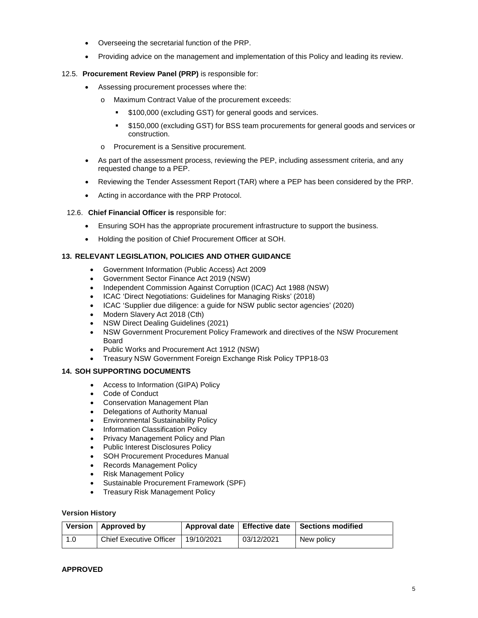- Overseeing the secretarial function of the PRP.
- Providing advice on the management and implementation of this Policy and leading its review.

### 12.5. **Procurement Review Panel (PRP)** is responsible for:

- Assessing procurement processes where the:
	- o Maximum Contract Value of the procurement exceeds:
		- **\$100,000 (excluding GST) for general goods and services.**
		- \$150,000 (excluding GST) for BSS team procurements for general goods and services or construction.
	- o Procurement is a Sensitive procurement.
- As part of the assessment process, reviewing the PEP, including assessment criteria, and any requested change to a PEP.
- Reviewing the Tender Assessment Report (TAR) where a PEP has been considered by the PRP.
- Acting in accordance with the PRP Protocol.

#### 12.6. **Chief Financial Officer is** responsible for:

- Ensuring SOH has the appropriate procurement infrastructure to support the business.
- Holding the position of Chief Procurement Officer at SOH.

#### **13. RELEVANT LEGISLATION, POLICIES AND OTHER GUIDANCE**

- Government Information (Public Access) Act 2009
- Government Sector Finance Act 2019 (NSW)
- Independent Commission Against Corruption (ICAC) Act 1988 (NSW)
- ICAC 'Direct Negotiations: Guidelines for Managing Risks' (2018)
- ICAC 'Supplier due diligence: a guide for NSW public sector agencies' (2020)
- Modern Slavery Act 2018 (Cth)
- NSW Direct Dealing Guidelines (2021)
- NSW Government Procurement Policy Framework and directives of the NSW Procurement Board
- Public Works and Procurement Act 1912 (NSW)
- Treasury NSW Government Foreign Exchange Risk Policy TPP18-03

#### **14. SOH SUPPORTING DOCUMENTS**

- Access to Information (GIPA) Policy
- Code of Conduct
- Conservation Management Plan
- Delegations of Authority Manual
- Environmental Sustainability Policy
- Information Classification Policy
- Privacy Management Policy and Plan
- Public Interest Disclosures Policy
- SOH Procurement Procedures Manual
- Records Management Policy
- Risk Management Policy
- Sustainable Procurement Framework (SPF)
- Treasury Risk Management Policy

#### **Version History**

|     | Version   Approved by          |            |            | Approval date   Effective date   Sections modified |
|-----|--------------------------------|------------|------------|----------------------------------------------------|
| 1.0 | <b>Chief Executive Officer</b> | 19/10/2021 | 03/12/2021 | New policy                                         |